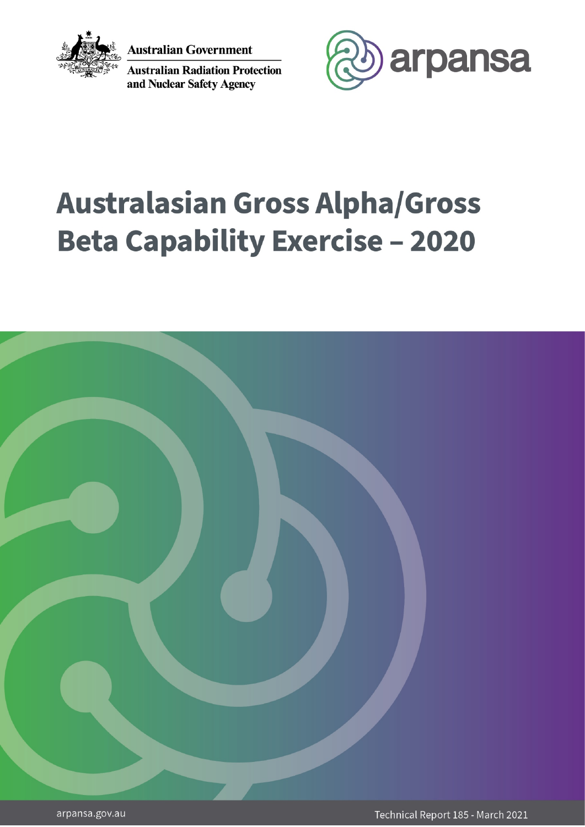

**Australian Government** 

**Australian Radiation Protection** and Nuclear Safety Agency



# **Australasian Gross Alpha/Gross Beta Capability Exercise - 2020**

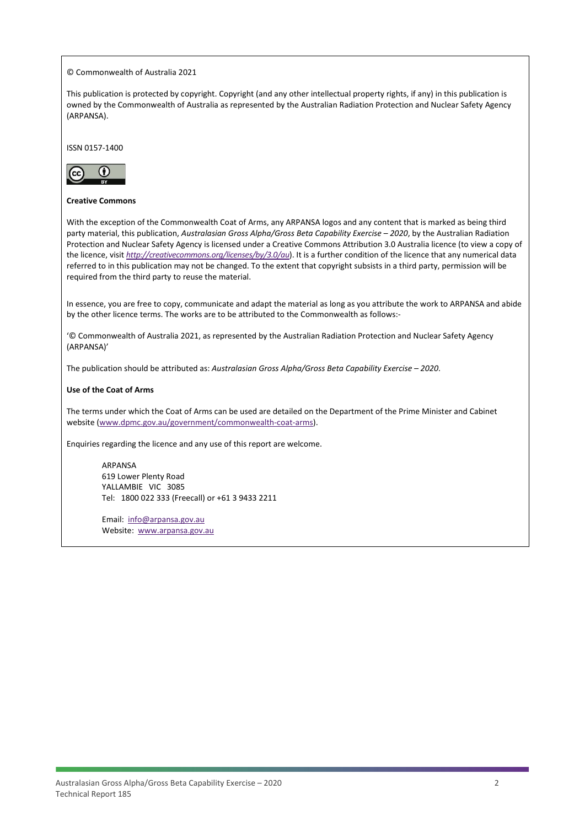© Commonwealth of Australia 2021

This publication is protected by copyright. Copyright (and any other intellectual property rights, if any) in this publication is owned by the Commonwealth of Australia as represented by the Australian Radiation Protection and Nuclear Safety Agency (ARPANSA).

ISSN 0157-1400



#### **Creative Commons**

With the exception of the Commonwealth Coat of Arms, any ARPANSA logos and any content that is marked as being third party material, this publication, *Australasian Gross Alpha/Gross Beta Capability Exercise – 2020*, by the Australian Radiation Protection and Nuclear Safety Agency is licensed under a Creative Commons Attribution 3.0 Australia licence (to view a copy of the licence, visit *<http://creativecommons.org/licenses/by/3.0/au>*). It is a further condition of the licence that any numerical data referred to in this publication may not be changed. To the extent that copyright subsists in a third party, permission will be required from the third party to reuse the material.

In essence, you are free to copy, communicate and adapt the material as long as you attribute the work to ARPANSA and abide by the other licence terms. The works are to be attributed to the Commonwealth as follows:-

'© Commonwealth of Australia 2021, as represented by the Australian Radiation Protection and Nuclear Safety Agency (ARPANSA)'

The publication should be attributed as: *Australasian Gross Alpha/Gross Beta Capability Exercise – 2020*.

#### **Use of the Coat of Arms**

The terms under which the Coat of Arms can be used are detailed on the Department of the Prime Minister and Cabinet website [\(www.dpmc.gov.au/government/commonwealth-coat-arms\)](http://www.dpmc.gov.au/government/commonwealth-coat-arms).

Enquiries regarding the licence and any use of this report are welcome.

ARPANSA 619 Lower Plenty Road YALLAMBIE VIC 3085 Tel: 1800 022 333 (Freecall) or +61 3 9433 2211

Email: [info@arpansa.gov.au](mailto:info@arpansa.gov.au) Website: [www.arpansa.gov.au](http://www.arpansa.gov.au/)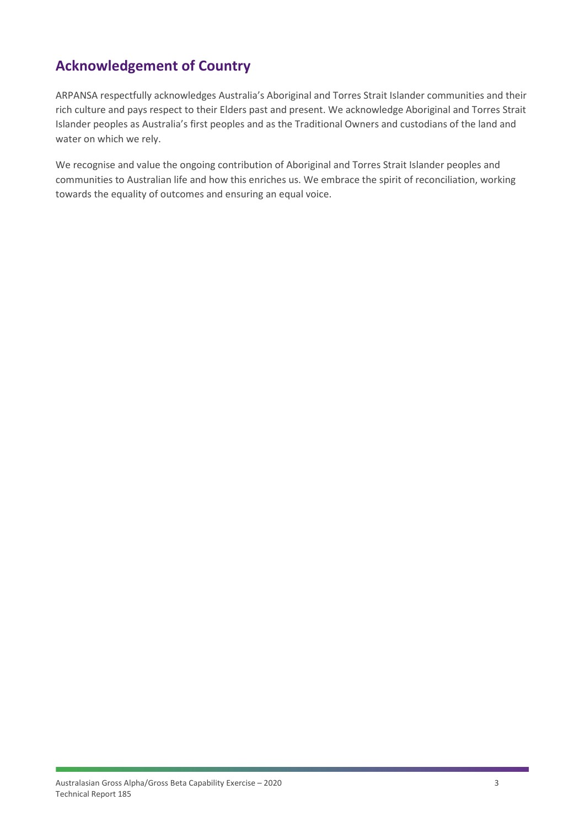# **Acknowledgement of Country**

ARPANSA respectfully acknowledges Australia's Aboriginal and Torres Strait Islander communities and their rich culture and pays respect to their Elders past and present. We acknowledge Aboriginal and Torres Strait Islander peoples as Australia's first peoples and as the Traditional Owners and custodians of the land and water on which we rely.

We recognise and value the ongoing contribution of Aboriginal and Torres Strait Islander peoples and communities to Australian life and how this enriches us. We embrace the spirit of reconciliation, working towards the equality of outcomes and ensuring an equal voice.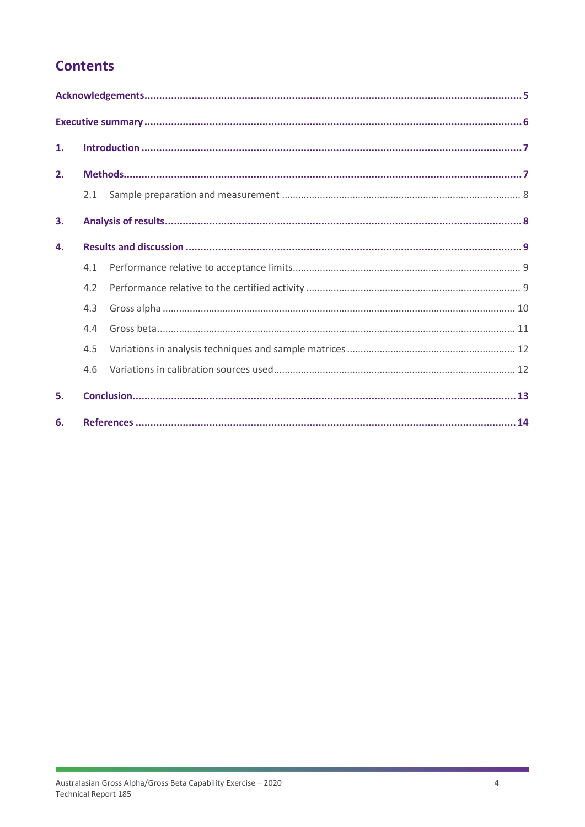# **Contents**

| 1. |     |  |  |  |  |
|----|-----|--|--|--|--|
| 2. |     |  |  |  |  |
|    | 2.1 |  |  |  |  |
| 3. |     |  |  |  |  |
| 4. |     |  |  |  |  |
|    | 4.1 |  |  |  |  |
|    | 4.2 |  |  |  |  |
|    | 4.3 |  |  |  |  |
|    | 4.4 |  |  |  |  |
|    | 4.5 |  |  |  |  |
|    | 4.6 |  |  |  |  |
| 5. |     |  |  |  |  |
| 6. |     |  |  |  |  |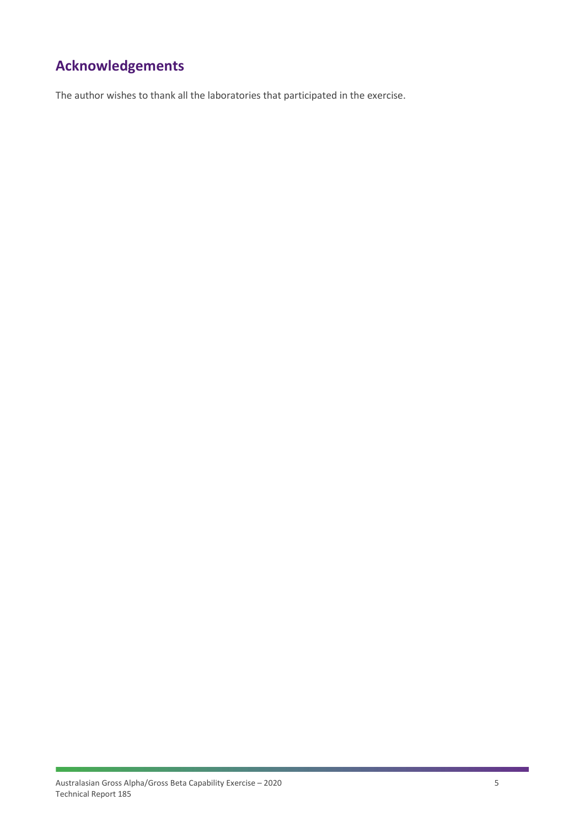# <span id="page-4-0"></span>**Acknowledgements**

The author wishes to thank all the laboratories that participated in the exercise.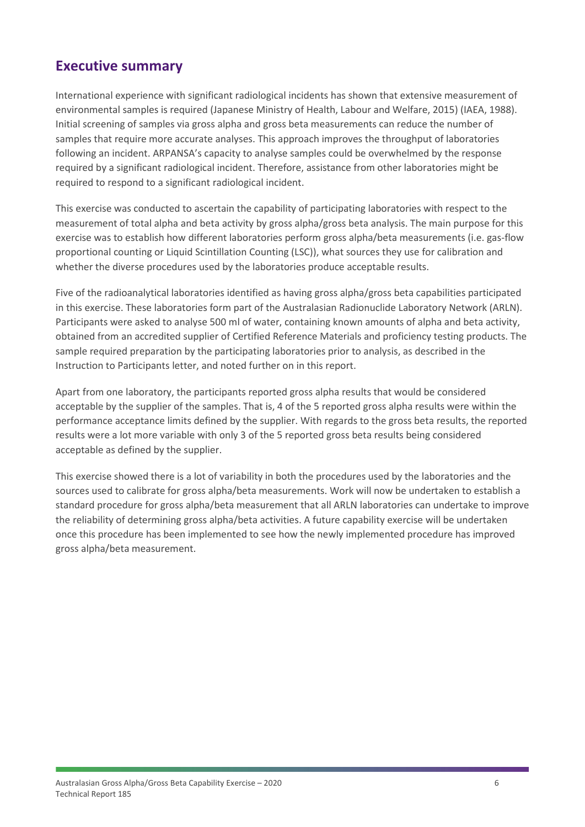## <span id="page-5-0"></span>**Executive summary**

International experience with significant radiological incidents has shown that extensive measurement of environmental samples is required (Japanese Ministry of Health, Labour and Welfare, 2015) (IAEA, 1988). Initial screening of samples via gross alpha and gross beta measurements can reduce the number of samples that require more accurate analyses. This approach improves the throughput of laboratories following an incident. ARPANSA's capacity to analyse samples could be overwhelmed by the response required by a significant radiological incident. Therefore, assistance from other laboratories might be required to respond to a significant radiological incident.

This exercise was conducted to ascertain the capability of participating laboratories with respect to the measurement of total alpha and beta activity by gross alpha/gross beta analysis. The main purpose for this exercise was to establish how different laboratories perform gross alpha/beta measurements (i.e. gas-flow proportional counting or Liquid Scintillation Counting (LSC)), what sources they use for calibration and whether the diverse procedures used by the laboratories produce acceptable results.

Five of the radioanalytical laboratories identified as having gross alpha/gross beta capabilities participated in this exercise. These laboratories form part of the Australasian Radionuclide Laboratory Network (ARLN). Participants were asked to analyse 500 ml of water, containing known amounts of alpha and beta activity, obtained from an accredited supplier of Certified Reference Materials and proficiency testing products. The sample required preparation by the participating laboratories prior to analysis, as described in the Instruction to Participants letter, and noted further on in this report.

Apart from one laboratory, the participants reported gross alpha results that would be considered acceptable by the supplier of the samples. That is, 4 of the 5 reported gross alpha results were within the performance acceptance limits defined by the supplier. With regards to the gross beta results, the reported results were a lot more variable with only 3 of the 5 reported gross beta results being considered acceptable as defined by the supplier.

This exercise showed there is a lot of variability in both the procedures used by the laboratories and the sources used to calibrate for gross alpha/beta measurements. Work will now be undertaken to establish a standard procedure for gross alpha/beta measurement that all ARLN laboratories can undertake to improve the reliability of determining gross alpha/beta activities. A future capability exercise will be undertaken once this procedure has been implemented to see how the newly implemented procedure has improved gross alpha/beta measurement.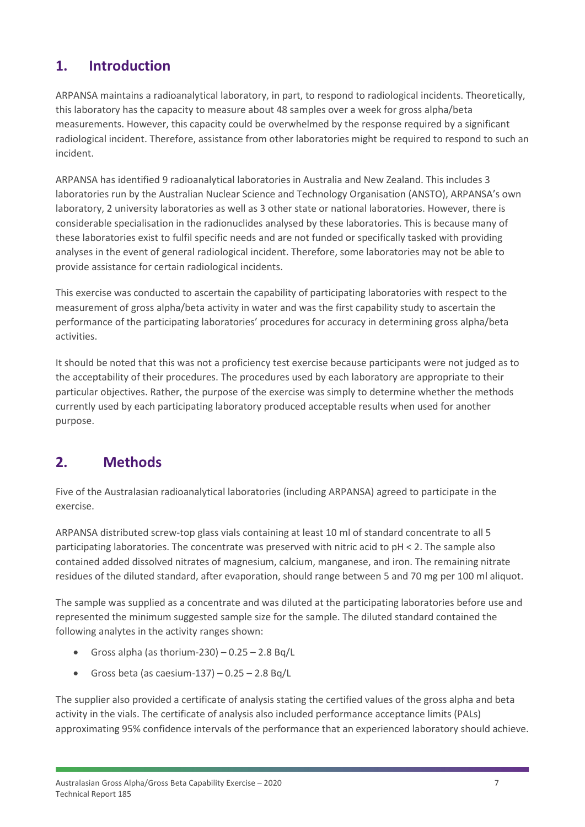## <span id="page-6-0"></span>**1. Introduction**

ARPANSA maintains a radioanalytical laboratory, in part, to respond to radiological incidents. Theoretically, this laboratory has the capacity to measure about 48 samples over a week for gross alpha/beta measurements. However, this capacity could be overwhelmed by the response required by a significant radiological incident. Therefore, assistance from other laboratories might be required to respond to such an incident.

ARPANSA has identified 9 radioanalytical laboratories in Australia and New Zealand. This includes 3 laboratories run by the Australian Nuclear Science and Technology Organisation (ANSTO), ARPANSA's own laboratory, 2 university laboratories as well as 3 other state or national laboratories. However, there is considerable specialisation in the radionuclides analysed by these laboratories. This is because many of these laboratories exist to fulfil specific needs and are not funded or specifically tasked with providing analyses in the event of general radiological incident. Therefore, some laboratories may not be able to provide assistance for certain radiological incidents.

This exercise was conducted to ascertain the capability of participating laboratories with respect to the measurement of gross alpha/beta activity in water and was the first capability study to ascertain the performance of the participating laboratories' procedures for accuracy in determining gross alpha/beta activities.

It should be noted that this was not a proficiency test exercise because participants were not judged as to the acceptability of their procedures. The procedures used by each laboratory are appropriate to their particular objectives. Rather, the purpose of the exercise was simply to determine whether the methods currently used by each participating laboratory produced acceptable results when used for another purpose.

# <span id="page-6-1"></span>**2. Methods**

Five of the Australasian radioanalytical laboratories (including ARPANSA) agreed to participate in the exercise.

ARPANSA distributed screw-top glass vials containing at least 10 ml of standard concentrate to all 5 participating laboratories. The concentrate was preserved with nitric acid to pH < 2. The sample also contained added dissolved nitrates of magnesium, calcium, manganese, and iron. The remaining nitrate residues of the diluted standard, after evaporation, should range between 5 and 70 mg per 100 ml aliquot.

The sample was supplied as a concentrate and was diluted at the participating laboratories before use and represented the minimum suggested sample size for the sample. The diluted standard contained the following analytes in the activity ranges shown:

- Gross alpha (as thorium-230)  $0.25 2.8$  Bg/L
- Gross beta (as caesium-137)  $0.25 2.8$  Bg/L

The supplier also provided a certificate of analysis stating the certified values of the gross alpha and beta activity in the vials. The certificate of analysis also included performance acceptance limits (PALs) approximating 95% confidence intervals of the performance that an experienced laboratory should achieve.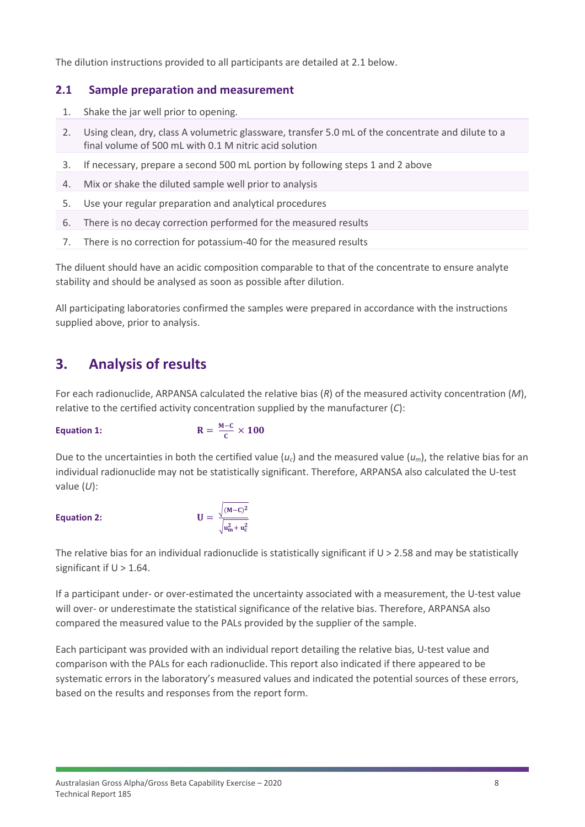The dilution instructions provided to all participants are detailed at 2.1 below.

#### <span id="page-7-0"></span>**2.1 Sample preparation and measurement**

- 1. Shake the jar well prior to opening.
- 2. Using clean, dry, class A volumetric glassware, transfer 5.0 mL of the concentrate and dilute to a final volume of 500 mL with 0.1 M nitric acid solution
- 3. If necessary, prepare a second 500 mL portion by following steps 1 and 2 above
- 4. Mix or shake the diluted sample well prior to analysis
- 5. Use your regular preparation and analytical procedures
- 6. There is no decay correction performed for the measured results
- 7. There is no correction for potassium-40 for the measured results

The diluent should have an acidic composition comparable to that of the concentrate to ensure analyte stability and should be analysed as soon as possible after dilution.

All participating laboratories confirmed the samples were prepared in accordance with the instructions supplied above, prior to analysis.

## <span id="page-7-1"></span>**3. Analysis of results**

For each radionuclide, ARPANSA calculated the relative bias (*R*) of the measured activity concentration (*M*), relative to the certified activity concentration supplied by the manufacturer (*C*):

#### Equation 1:

$$
R=\frac{M-C}{C}\times 100
$$

Due to the uncertainties in both the certified value  $(u_c)$  and the measured value  $(u_m)$ , the relative bias for an individual radionuclide may not be statistically significant. Therefore, ARPANSA also calculated the U-test value (*U*):

#### **Equation 2:**  $\qquad \qquad \blacksquare$

$$
= \frac{\sqrt{(M-C)^2}}{\sqrt{u_m^2+u_c^2}}
$$

The relative bias for an individual radionuclide is statistically significant if  $U > 2.58$  and may be statistically significant if  $U > 1.64$ .

If a participant under- or over-estimated the uncertainty associated with a measurement, the U-test value will over- or underestimate the statistical significance of the relative bias. Therefore, ARPANSA also compared the measured value to the PALs provided by the supplier of the sample.

Each participant was provided with an individual report detailing the relative bias, U-test value and comparison with the PALs for each radionuclide. This report also indicated if there appeared to be systematic errors in the laboratory's measured values and indicated the potential sources of these errors, based on the results and responses from the report form.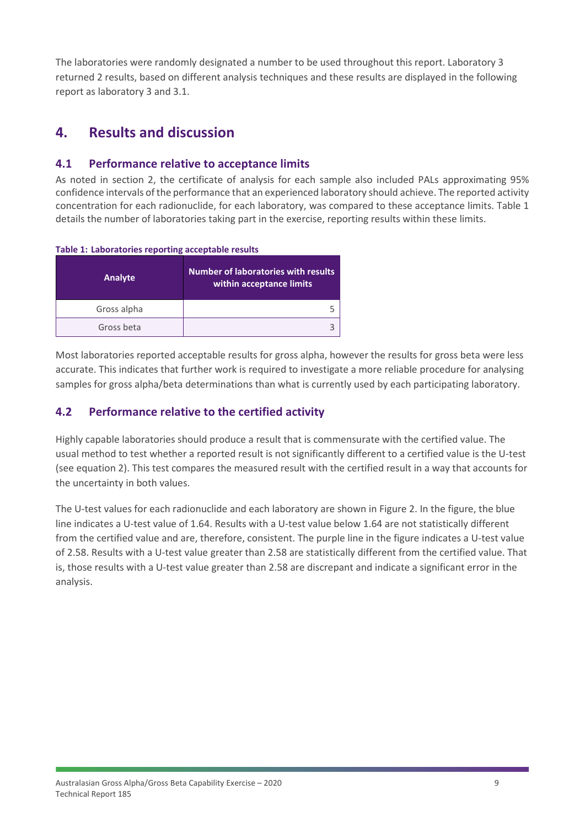The laboratories were randomly designated a number to be used throughout this report. Laboratory 3 returned 2 results, based on different analysis techniques and these results are displayed in the following report as laboratory 3 and 3.1.

## <span id="page-8-0"></span>**4. Results and discussion**

### <span id="page-8-1"></span>**4.1 Performance relative to acceptance limits**

As noted in section 2, the certificate of analysis for each sample also included PALs approximating 95% confidence intervals of the performance that an experienced laboratory should achieve. The reported activity concentration for each radionuclide, for each laboratory, was compared to these acceptance limits. [Table 1](#page-8-3) details the number of laboratories taking part in the exercise, reporting results within these limits.

| Analyte     | <b>Number of laboratories with results</b><br>within acceptance limits |
|-------------|------------------------------------------------------------------------|
| Gross alpha |                                                                        |
| Gross beta  |                                                                        |

#### <span id="page-8-3"></span>**Table 1: Laboratories reporting acceptable results**

Most laboratories reported acceptable results for gross alpha, however the results for gross beta were less accurate. This indicates that further work is required to investigate a more reliable procedure for analysing samples for gross alpha/beta determinations than what is currently used by each participating laboratory.

## <span id="page-8-2"></span>**4.2 Performance relative to the certified activity**

Highly capable laboratories should produce a result that is commensurate with the certified value. The usual method to test whether a reported result is not significantly different to a certified value is the U-test (see equation 2). This test compares the measured result with the certified result in a way that accounts for the uncertainty in both values.

The U-test values for each radionuclide and each laboratory are shown in [Figure 2.](#page-9-1) In the figure, the blue line indicates a U-test value of 1.64. Results with a U-test value below 1.64 are not statistically different from the certified value and are, therefore, consistent. The purple line in the figure indicates a U-test value of 2.58. Results with a U-test value greater than 2.58 are statistically different from the certified value. That is, those results with a U-test value greater than 2.58 are discrepant and indicate a significant error in the analysis.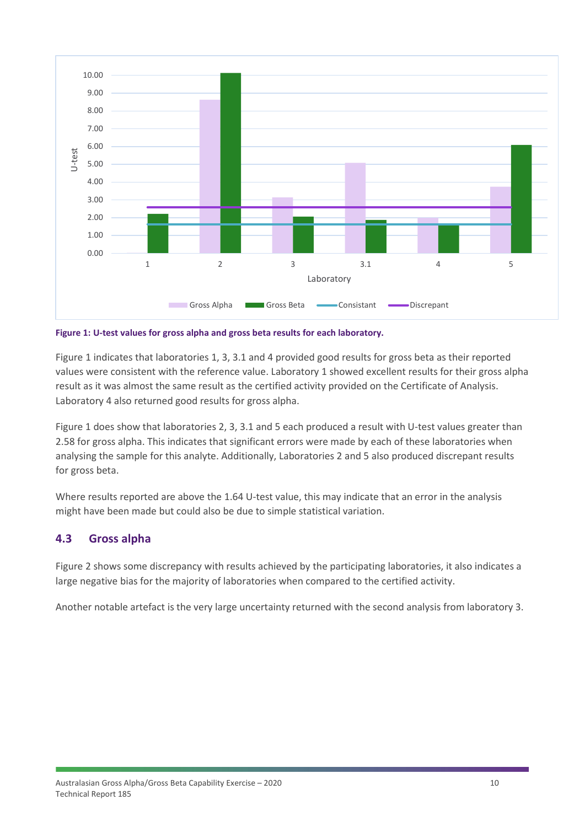

<span id="page-9-1"></span>**Figure 1: U-test values for gross alpha and gross beta results for each laboratory.**

[Figure 1](#page-9-1) indicates that laboratories 1, 3, 3.1 and 4 provided good results for gross beta as their reported values were consistent with the reference value. Laboratory 1 showed excellent results for their gross alpha result as it was almost the same result as the certified activity provided on the Certificate of Analysis. Laboratory 4 also returned good results for gross alpha.

[Figure 1](#page-9-1) does show that laboratories 2, 3, 3.1 and 5 each produced a result with U-test values greater than 2.58 for gross alpha. This indicates that significant errors were made by each of these laboratories when analysing the sample for this analyte. Additionally, Laboratories 2 and 5 also produced discrepant results for gross beta.

Where results reported are above the 1.64 U-test value, this may indicate that an error in the analysis might have been made but could also be due to simple statistical variation.

### <span id="page-9-0"></span>**4.3 Gross alpha**

Figure 2 shows some discrepancy with results achieved by the participating laboratories, it also indicates a large negative bias for the majority of laboratories when compared to the certified activity.

Another notable artefact is the very large uncertainty returned with the second analysis from laboratory 3.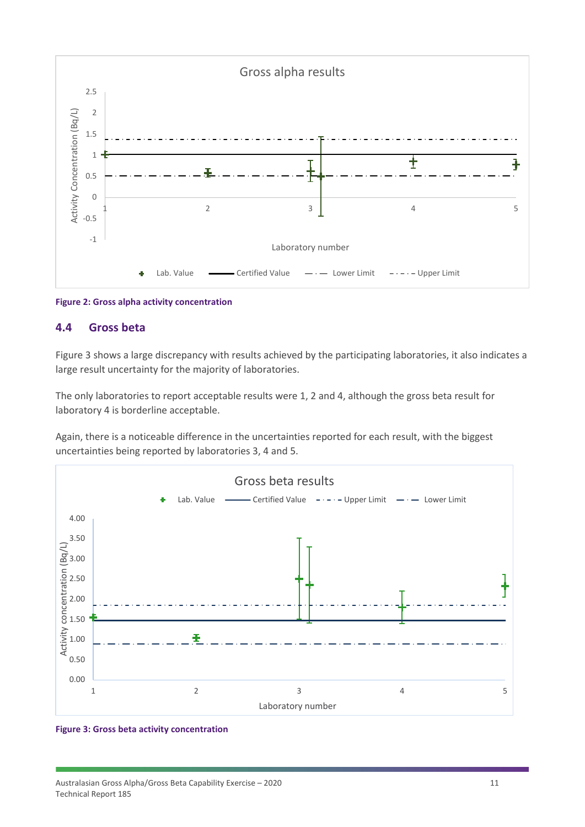

<span id="page-10-0"></span>**Figure 2: Gross alpha activity concentration**

#### **4.4 Gross beta**

Figure 3 shows a large discrepancy with results achieved by the participating laboratories, it also indicates a large result uncertainty for the majority of laboratories.

The only laboratories to report acceptable results were 1, 2 and 4, although the gross beta result for laboratory 4 is borderline acceptable.

Again, there is a noticeable difference in the uncertainties reported for each result, with the biggest uncertainties being reported by laboratories 3, 4 and 5.



#### **Figure 3: Gross beta activity concentration**

Australasian Gross Alpha/Gross Beta Capability Exercise – 2020 11 11 Technical Report 185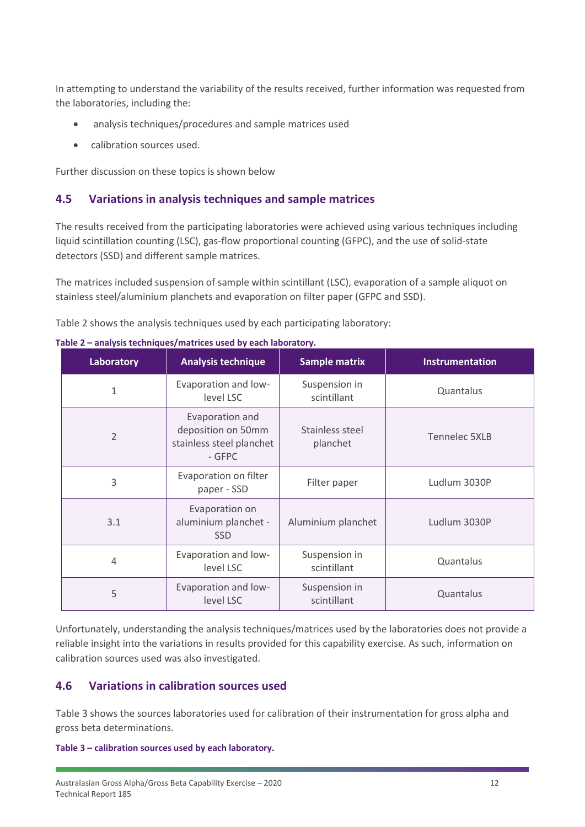In attempting to understand the variability of the results received, further information was requested from the laboratories, including the:

- analysis techniques/procedures and sample matrices used
- calibration sources used.

Further discussion on these topics is shown below

## <span id="page-11-0"></span>**4.5 Variations in analysis techniques and sample matrices**

The results received from the participating laboratories were achieved using various techniques including liquid scintillation counting (LSC), gas-flow proportional counting (GFPC), and the use of solid-state detectors (SSD) and different sample matrices.

The matrices included suspension of sample within scintillant (LSC), evaporation of a sample aliquot on stainless steel/aluminium planchets and evaporation on filter paper (GFPC and SSD).

Table 2 shows the analysis techniques used by each participating laboratory:

| Laboratory     | <b>Analysis technique</b>                                                   | <b>Sample matrix</b>         | Instrumentation |
|----------------|-----------------------------------------------------------------------------|------------------------------|-----------------|
| $\mathbf{1}$   | Evaporation and low-<br>level LSC                                           | Suspension in<br>scintillant | Quantalus       |
| $\overline{2}$ | Evaporation and<br>deposition on 50mm<br>stainless steel planchet<br>- GFPC | Stainless steel<br>planchet  | Tennelec 5XLB   |
| 3              | Evaporation on filter<br>paper - SSD                                        | Filter paper                 | Ludlum 3030P    |
| 3.1            | Evaporation on<br>aluminium planchet -<br><b>SSD</b>                        | Aluminium planchet           | Ludlum 3030P    |
| 4              | Evaporation and low-<br>level LSC                                           | Suspension in<br>scintillant | Quantalus       |
| 5              | Evaporation and low-<br>level LSC                                           | Suspension in<br>scintillant | Quantalus       |

**Table 2 – analysis techniques/matrices used by each laboratory.**

Unfortunately, understanding the analysis techniques/matrices used by the laboratories does not provide a reliable insight into the variations in results provided for this capability exercise. As such, information on calibration sources used was also investigated.

### <span id="page-11-1"></span>**4.6 Variations in calibration sources used**

Table 3 shows the sources laboratories used for calibration of their instrumentation for gross alpha and gross beta determinations.

**Table 3 – calibration sources used by each laboratory.**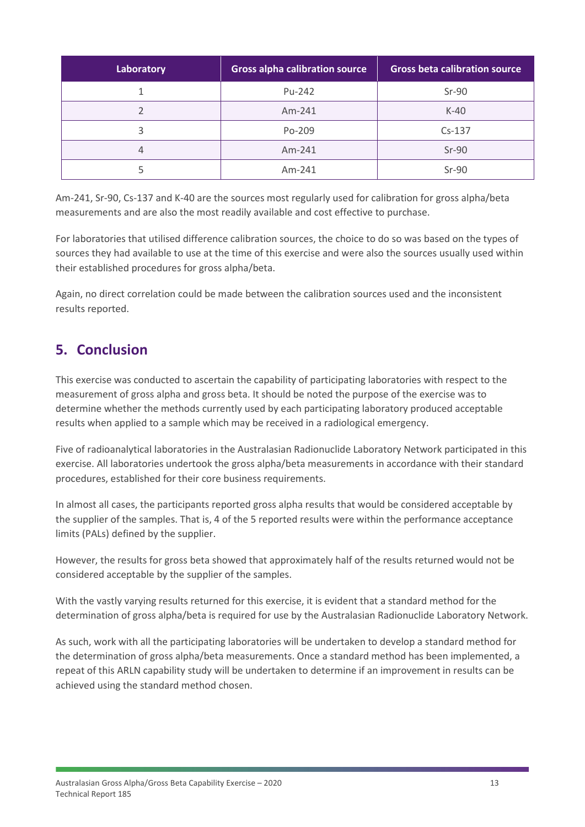| Laboratory | <b>Gross alpha calibration source</b> | <b>Gross beta calibration source</b> |
|------------|---------------------------------------|--------------------------------------|
|            | Pu-242                                | $Sr-90$                              |
|            | $Am-241$                              | $K-40$                               |
| 3          | Po-209                                | $Cs-137$                             |
| 4          | Am-241                                | $Sr-90$                              |
|            | Am-241                                | $Sr-90$                              |

Am-241, Sr-90, Cs-137 and K-40 are the sources most regularly used for calibration for gross alpha/beta measurements and are also the most readily available and cost effective to purchase.

For laboratories that utilised difference calibration sources, the choice to do so was based on the types of sources they had available to use at the time of this exercise and were also the sources usually used within their established procedures for gross alpha/beta.

Again, no direct correlation could be made between the calibration sources used and the inconsistent results reported.

## <span id="page-12-0"></span>**5. Conclusion**

This exercise was conducted to ascertain the capability of participating laboratories with respect to the measurement of gross alpha and gross beta. It should be noted the purpose of the exercise was to determine whether the methods currently used by each participating laboratory produced acceptable results when applied to a sample which may be received in a radiological emergency.

Five of radioanalytical laboratories in the Australasian Radionuclide Laboratory Network participated in this exercise. All laboratories undertook the gross alpha/beta measurements in accordance with their standard procedures, established for their core business requirements.

In almost all cases, the participants reported gross alpha results that would be considered acceptable by the supplier of the samples. That is, 4 of the 5 reported results were within the performance acceptance limits (PALs) defined by the supplier.

However, the results for gross beta showed that approximately half of the results returned would not be considered acceptable by the supplier of the samples.

With the vastly varying results returned for this exercise, it is evident that a standard method for the determination of gross alpha/beta is required for use by the Australasian Radionuclide Laboratory Network.

As such, work with all the participating laboratories will be undertaken to develop a standard method for the determination of gross alpha/beta measurements. Once a standard method has been implemented, a repeat of this ARLN capability study will be undertaken to determine if an improvement in results can be achieved using the standard method chosen.